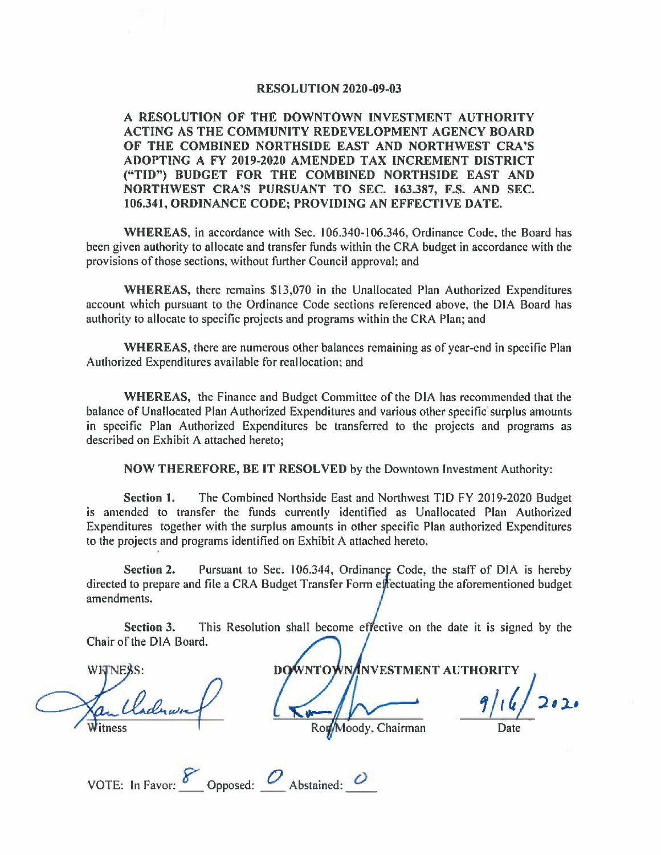## **RESOLUTION 2020-09-03**

**A RESOLUTION OF THE DOWNTOWN INVESTMENT AUTHORITY ACTING AS THE COMMUNITY REDEVELOPMENT AGENCY BOARD OF THE COMBINED NORTHSIDE EAST AND NORTHWEST CRA'S ADOPTING A FY 2019-2020 AMENDED TAX INCREMENT DISTRICT ("TIO") BUDGET FOR THE COMBINED NORTHSIDE EAST AND NORTHWEST CRA'S PURSUANT TO SEC. 163.387, F.S. AND SEC. 106.341, ORDINANCE CODE; PROVIDING AN EFFECTIVE DATE.** 

WHEREAS, in accordance with Sec. 106.340-106.346, Ordinance Code, the Board has been given authority to allocate and transfer funds within the CRA budget in accordance with the provisions of those sections, without further Council approval; and

**WHEREAS,** there remains \$13,070 in the Unallocated Plan Authorized Expenditures account which pursuant to the Ordinance Code sections referenced above, the DIA Board has authority to allocate to specific projects and programs within the CRA Plan; and

**WHEREAS,** there are numerous other balances remaining as of year-end in specific Plan Authorized Expenditures available for reallocation: and

**WHEREAS,** the Finance and Budget Committee of the DIA has recommended that the balance of Unallocated Plan Authorized Expenditures and various other specific surplus amounts in specific Plan Authorized Expenditures be transferred to the projects and programs as described on Exhibit A attached hereto;

**NOW THEREFORE, BE IT RESOLVED** by the Downtown Investment Authority:

**Section 1.** The Combined Northside East and Northwest TID FY 2019-2020 Budget is amended to transfer the funds currently identified as Unallocated Plan Authorized Expenditures together with the surplus amounts in other specific Plan authorized Expenditures to the projects and programs identified on Exhibit A attached hereto.

**Section 2.** Pursuant to Sec. 106.344, Ordinance Code, the staff of DIA is hereby directed to prepare and file a CRA Budget Transfer Form effectuating the aforementioned budget amendments.

**Section 3.** This Resolution shall become effective on the date it is signed by the Chair of the DIA Board.

**WHINES** 

**NOWNTOWNANVESTMENT AUTHORITY** Moody, Chairman

**'J** I **4 2' l-•**  Date

| VOTE: In Favor: | Opposed: | Abstained: |  |
|-----------------|----------|------------|--|